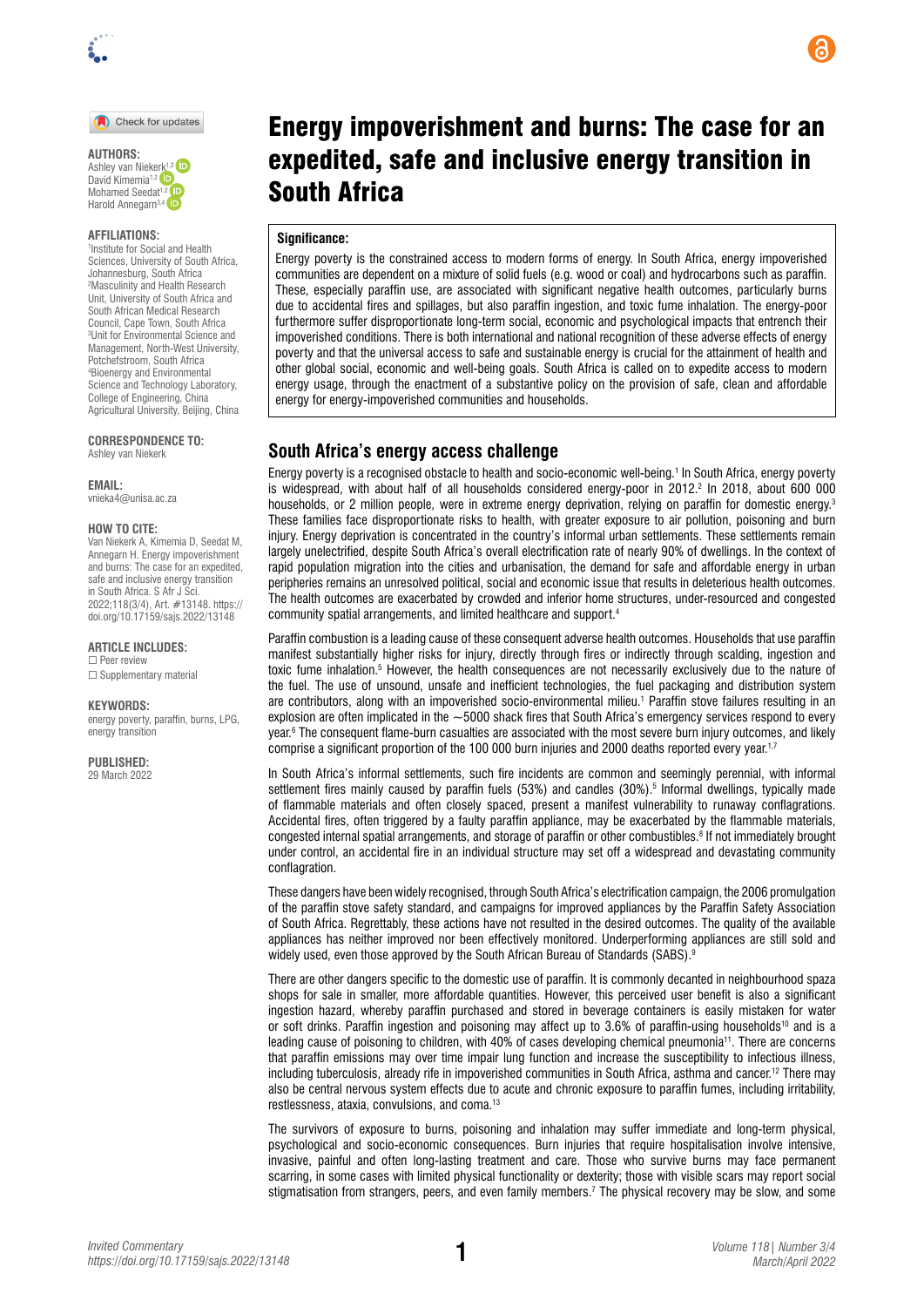

Check for updates

Ashley van Niekerk<sup>1,2</sup> David Kimemia<sup>1,2</sup> Mohamed Seedat<sup>[1,](https://orcid.org/0000-0001-6653-4679)2</sup> iD Harold Annegarn<sup>3,4</sup> <sup>iD</sup>

#### **AFFILIATIONS:**

1 Institute for Social and Health Sciences, University of South Africa, Johannesburg, South Africa 2 Masculinity and Health Research Unit, University of South Africa and South African Medical Research Council, Cape Town, South Africa 3 Unit for Environmental Science and Management, North-West University, Potchefstroom, South Africa 4 Bioenergy and Environmental Science and Technology Laboratory, College of Engineering, China Agricultural University, Beijing, China

**CORRESPONDENCE TO:**  Ashley van Niekerk

**EMAIL:** 

[vnieka4@unisa.ac.za](mailto:vnieka4@unisa.ac.za)

#### **HOW TO CITE:**

Van Niekerk A, Kimemia D, Seedat M, Annegarn H. Energy impoverishment and burns: The case for an expedited, safe and inclusive energy transition in South Africa. S Afr J Sci. 2022;118(3/4), Art. #13148. [https://](https://doi.org/10.17159/sajs.2022/13148) [doi.org/10.17159/sajs.2022/13148](https://doi.org/10.17159/sajs.2022/13148)

#### **ARTICLE INCLUDES:**

☐ Peer review □ Supplementary material

#### **KEYWORDS:**

energy poverty, paraffin, burns, LPG, energy transition

**PUBLISHED:** 29 March 2022

# Energy impoverishment and burns: The case for an expedited, safe and inclusive energy transition in South Africa

#### **Significance:**

Energy poverty is the constrained access to modern forms of energy. In South Africa, energy impoverished communities are dependent on a mixture of solid fuels (e.g. wood or coal) and hydrocarbons such as paraffin. These, especially paraffin use, are associated with significant negative health outcomes, particularly burns due to accidental fires and spillages, but also paraffin ingestion, and toxic fume inhalation. The energy-poor furthermore suffer disproportionate long-term social, economic and psychological impacts that entrench their impoverished conditions. There is both international and national recognition of these adverse effects of energy poverty and that the universal access to safe and sustainable energy is crucial for the attainment of health and other global social, economic and well-being goals. South Africa is called on to expedite access to modern energy usage, through the enactment of a substantive policy on the provision of safe, clean and affordable energy for energy-impoverished communities and households.

#### **South Africa's energy access challenge**

Energy poverty is a recognised obstacle to health and socio-economic well-being.1 In South Africa, energy poverty is widespread, with about half of all households considered energy-poor in 2012.2 In 2018, about 600 000 households, or 2 million people, were in extreme energy deprivation, relying on paraffin for domestic energy.<sup>3</sup> These families face disproportionate risks to health, with greater exposure to air pollution, poisoning and burn injury. Energy deprivation is concentrated in the country's informal urban settlements. These settlements remain largely unelectrified, despite South Africa's overall electrification rate of nearly 90% of dwellings. In the context of rapid population migration into the cities and urbanisation, the demand for safe and affordable energy in urban peripheries remains an unresolved political, social and economic issue that results in deleterious health outcomes. The health outcomes are exacerbated by crowded and inferior home structures, under-resourced and congested community spatial arrangements, and limited healthcare and support.4

Paraffin combustion is a leading cause of these consequent adverse health outcomes. Households that use paraffin manifest substantially higher risks for injury, directly through fires or indirectly through scalding, ingestion and toxic fume inhalation.5 However, the health consequences are not necessarily exclusively due to the nature of the fuel. The use of unsound, unsafe and inefficient technologies, the fuel packaging and distribution system are contributors, along with an impoverished socio-environmental milieu.1 Paraffin stove failures resulting in an explosion are often implicated in the  $~5000$  shack fires that South Africa's emergency services respond to every year.6 The consequent flame-burn casualties are associated with the most severe burn injury outcomes, and likely comprise a significant proportion of the 100 000 burn injuries and 2000 deaths reported every year.<sup>1,7</sup>

In South Africa's informal settlements, such fire incidents are common and seemingly perennial, with informal settlement fires mainly caused by paraffin fuels (53%) and candles (30%).<sup>5</sup> Informal dwellings, typically made of flammable materials and often closely spaced, present a manifest vulnerability to runaway conflagrations. Accidental fires, often triggered by a faulty paraffin appliance, may be exacerbated by the flammable materials, congested internal spatial arrangements, and storage of paraffin or other combustibles.<sup>8</sup> If not immediately brought under control, an accidental fire in an individual structure may set off a widespread and devastating community conflagration.

These dangers have been widely recognised, through South Africa's electrification campaign, the 2006 promulgation of the paraffin stove safety standard, and campaigns for improved appliances by the Paraffin Safety Association of South Africa. Regrettably, these actions have not resulted in the desired outcomes. The quality of the available appliances has neither improved nor been effectively monitored. Underperforming appliances are still sold and widely used, even those approved by the South African Bureau of Standards (SABS).<sup>9</sup>

There are other dangers specific to the domestic use of paraffin. It is commonly decanted in neighbourhood spaza shops for sale in smaller, more affordable quantities. However, this perceived user benefit is also a significant ingestion hazard, whereby paraffin purchased and stored in beverage containers is easily mistaken for water or soft drinks. Paraffin ingestion and poisoning may affect up to  $3.6\%$  of paraffin-using households<sup>10</sup> and is a leading cause of poisoning to children, with 40% of cases developing chemical pneumonia11. There are concerns that paraffin emissions may over time impair lung function and increase the susceptibility to infectious illness, including tuberculosis, already rife in impoverished communities in South Africa, asthma and cancer.<sup>12</sup> There may also be central nervous system effects due to acute and chronic exposure to paraffin fumes, including irritability, restlessness, ataxia, convulsions, and coma.13

The survivors of exposure to burns, poisoning and inhalation may suffer immediate and long-term physical, psychological and socio-economic consequences. Burn injuries that require hospitalisation involve intensive, invasive, painful and often long-lasting treatment and care. Those who survive burns may face permanent scarring, in some cases with limited physical functionality or dexterity; those with visible scars may report social stigmatisation from strangers, peers, and even family members.<sup>7</sup> The physical recovery may be slow, and some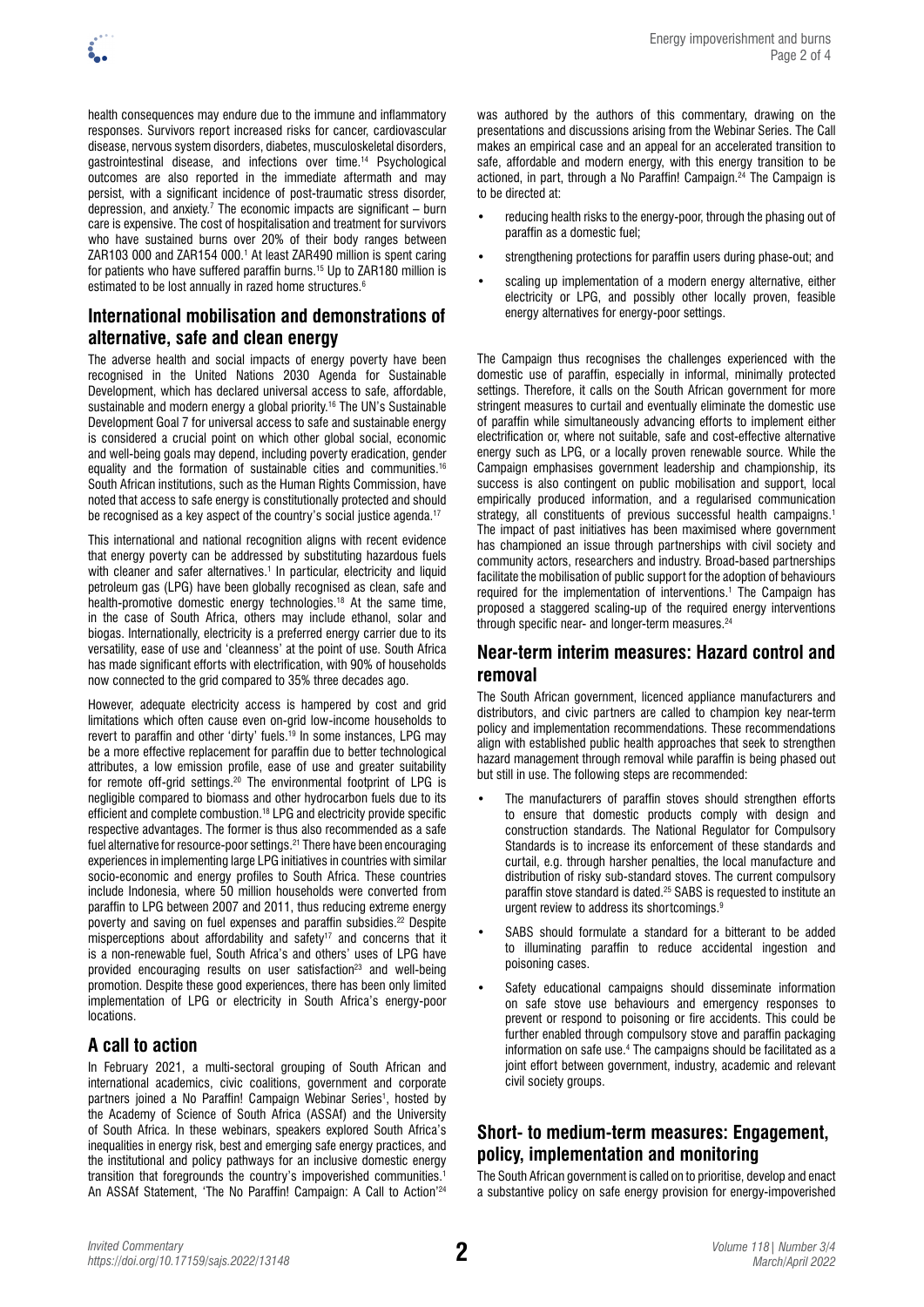health consequences may endure due to the immune and inflammatory responses. Survivors report increased risks for cancer, cardiovascular disease, nervous system disorders, diabetes, musculoskeletal disorders, gastrointestinal disease, and infections over time.14 Psychological outcomes are also reported in the immediate aftermath and may persist, with a significant incidence of post-traumatic stress disorder, depression, and anxiety.<sup>7</sup> The economic impacts are significant  $-$  burn care is expensive. The cost of hospitalisation and treatment for survivors who have sustained burns over 20% of their body ranges between ZAR103 000 and ZAR154 000.1 At least ZAR490 million is spent caring for patients who have suffered paraffin burns.15 Up to ZAR180 million is estimated to be lost annually in razed home structures.<sup>6</sup>

### **International mobilisation and demonstrations of alternative, safe and clean energy**

The adverse health and social impacts of energy poverty have been recognised in the United Nations 2030 Agenda for Sustainable Development, which has declared universal access to safe, affordable, sustainable and modern energy a global priority.<sup>16</sup> The UN's Sustainable Development Goal 7 for universal access to safe and sustainable energy is considered a crucial point on which other global social, economic and well-being goals may depend, including poverty eradication, gender equality and the formation of sustainable cities and communities.<sup>16</sup> South African institutions, such as the Human Rights Commission, have noted that access to safe energy is constitutionally protected and should be recognised as a key aspect of the country's social justice agenda.<sup>17</sup>

This international and national recognition aligns with recent evidence that energy poverty can be addressed by substituting hazardous fuels with cleaner and safer alternatives.<sup>1</sup> In particular, electricity and liquid petroleum gas (LPG) have been globally recognised as clean, safe and health-promotive domestic energy technologies.18 At the same time, in the case of South Africa, others may include ethanol, solar and biogas. Internationally, electricity is a preferred energy carrier due to its versatility, ease of use and 'cleanness' at the point of use. South Africa has made significant efforts with electrification, with 90% of households now connected to the grid compared to 35% three decades ago.

However, adequate electricity access is hampered by cost and grid limitations which often cause even on-grid low-income households to revert to paraffin and other 'dirty' fuels.19 In some instances, LPG may be a more effective replacement for paraffin due to better technological attributes, a low emission profile, ease of use and greater suitability for remote off-grid settings.20 The environmental footprint of LPG is negligible compared to biomass and other hydrocarbon fuels due to its efficient and complete combustion.18 LPG and electricity provide specific respective advantages. The former is thus also recommended as a safe fuel alternative for resource-poor settings.21 There have been encouraging experiences in implementing large LPG initiatives in countries with similar socio-economic and energy profiles to South Africa. These countries include Indonesia, where 50 million households were converted from paraffin to LPG between 2007 and 2011, thus reducing extreme energy poverty and saving on fuel expenses and paraffin subsidies.<sup>22</sup> Despite misperceptions about affordability and safety<sup>17</sup> and concerns that it is a non-renewable fuel, South Africa's and others' uses of LPG have provided encouraging results on user satisfaction<sup>23</sup> and well-being promotion. Despite these good experiences, there has been only limited implementation of LPG or electricity in South Africa's energy-poor locations.

### **A call to action**

In February 2021, a multi-sectoral grouping of South African and international academics, civic coalitions, government and corporate partners joined a No Paraffin! Campaign Webinar Series<sup>1</sup>, hosted by the Academy of Science of South Africa (ASSAf) and the University of South Africa. In these webinars, speakers explored South Africa's inequalities in energy risk, best and emerging safe energy practices, and the institutional and policy pathways for an inclusive domestic energy transition that foregrounds the country's impoverished communities.1 An ASSAf Statement, 'The No Paraffin! Campaign: A Call to Action'<sup>24</sup>

was authored by the authors of this commentary, drawing on the presentations and discussions arising from the Webinar Series. The Call makes an empirical case and an appeal for an accelerated transition to safe, affordable and modern energy, with this energy transition to be actioned, in part, through a No Paraffin! Campaign.<sup>24</sup> The Campaign is to be directed at:

- reducing health risks to the energy-poor, through the phasing out of paraffin as a domestic fuel;
- strengthening protections for paraffin users during phase-out; and
- scaling up implementation of a modern energy alternative, either electricity or LPG, and possibly other locally proven, feasible energy alternatives for energy-poor settings.

The Campaign thus recognises the challenges experienced with the domestic use of paraffin, especially in informal, minimally protected settings. Therefore, it calls on the South African government for more stringent measures to curtail and eventually eliminate the domestic use of paraffin while simultaneously advancing efforts to implement either electrification or, where not suitable, safe and cost-effective alternative energy such as LPG, or a locally proven renewable source. While the Campaign emphasises government leadership and championship, its success is also contingent on public mobilisation and support, local empirically produced information, and a regularised communication strategy, all constituents of previous successful health campaigns.<sup>1</sup> The impact of past initiatives has been maximised where government has championed an issue through partnerships with civil society and community actors, researchers and industry. Broad-based partnerships facilitate the mobilisation of public support for the adoption of behaviours required for the implementation of interventions.<sup>1</sup> The Campaign has proposed a staggered scaling-up of the required energy interventions through specific near- and longer-term measures.<sup>24</sup>

### **Near-term interim measures: Hazard control and removal**

The South African government, licenced appliance manufacturers and distributors, and civic partners are called to champion key near-term policy and implementation recommendations. These recommendations align with established public health approaches that seek to strengthen hazard management through removal while paraffin is being phased out but still in use. The following steps are recommended:

- The manufacturers of paraffin stoves should strengthen efforts to ensure that domestic products comply with design and construction standards. The National Regulator for Compulsory Standards is to increase its enforcement of these standards and curtail, e.g. through harsher penalties, the local manufacture and distribution of risky sub-standard stoves. The current compulsory paraffin stove standard is dated.<sup>25</sup> SABS is requested to institute an urgent review to address its shortcomings.<sup>9</sup>
- SABS should formulate a standard for a bitterant to be added to illuminating paraffin to reduce accidental ingestion and poisoning cases.
- Safety educational campaigns should disseminate information on safe stove use behaviours and emergency responses to prevent or respond to poisoning or fire accidents. This could be further enabled through compulsory stove and paraffin packaging information on safe use.<sup>4</sup> The campaigns should be facilitated as a joint effort between government, industry, academic and relevant civil society groups.

## **Short- to medium-term measures: Engagement, policy, implementation and monitoring**

The South African government is called on to prioritise, develop and enact a substantive policy on safe energy provision for energy-impoverished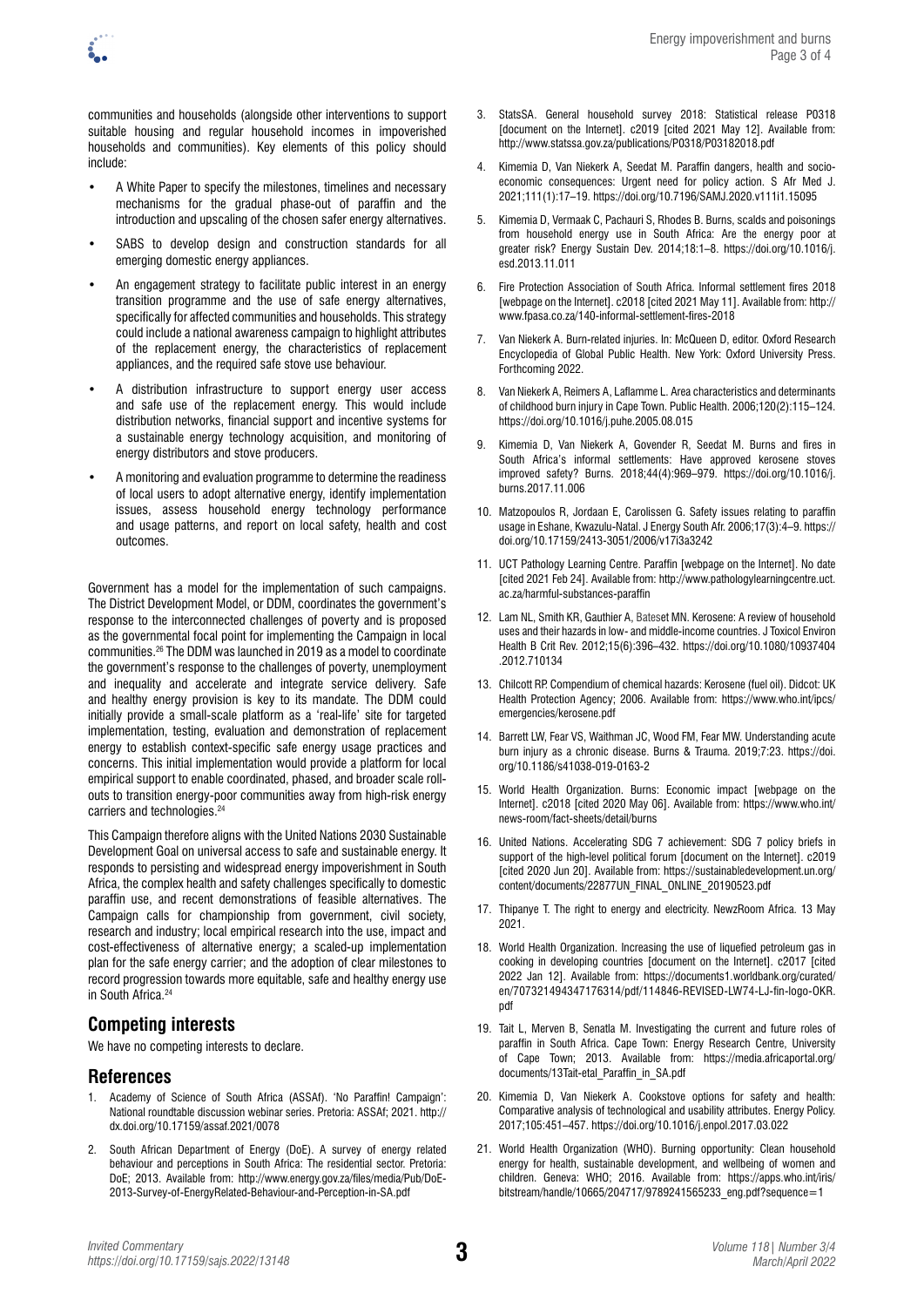

communities and households (alongside other interventions to support suitable housing and regular household incomes in impoverished households and communities). Key elements of this policy should include:

- A White Paper to specify the milestones, timelines and necessary mechanisms for the gradual phase-out of paraffin and the introduction and upscaling of the chosen safer energy alternatives.
- SABS to develop design and construction standards for all emerging domestic energy appliances.
- An engagement strategy to facilitate public interest in an energy transition programme and the use of safe energy alternatives, specifically for affected communities and households. This strategy could include a national awareness campaign to highlight attributes of the replacement energy, the characteristics of replacement appliances, and the required safe stove use behaviour.
- A distribution infrastructure to support energy user access and safe use of the replacement energy. This would include distribution networks, financial support and incentive systems for a sustainable energy technology acquisition, and monitoring of energy distributors and stove producers.
- A monitoring and evaluation programme to determine the readiness of local users to adopt alternative energy, identify implementation issues, assess household energy technology performance and usage patterns, and report on local safety, health and cost outcomes.

Government has a model for the implementation of such campaigns. The District Development Model, or DDM, coordinates the government's response to the interconnected challenges of poverty and is proposed as the governmental focal point for implementing the Campaign in local communities.26 The DDM was launched in 2019 as a model to coordinate the government's response to the challenges of poverty, unemployment and inequality and accelerate and integrate service delivery. Safe and healthy energy provision is key to its mandate. The DDM could initially provide a small-scale platform as a 'real-life' site for targeted implementation, testing, evaluation and demonstration of replacement energy to establish context-specific safe energy usage practices and concerns. This initial implementation would provide a platform for local empirical support to enable coordinated, phased, and broader scale rollouts to transition energy-poor communities away from high-risk energy carriers and technologies.<sup>24</sup>

This Campaign therefore aligns with the United Nations 2030 Sustainable Development Goal on universal access to safe and sustainable energy. It responds to persisting and widespread energy impoverishment in South Africa, the complex health and safety challenges specifically to domestic paraffin use, and recent demonstrations of feasible alternatives. The Campaign calls for championship from government, civil society, research and industry; local empirical research into the use, impact and cost-effectiveness of alternative energy; a scaled-up implementation plan for the safe energy carrier; and the adoption of clear milestones to record progression towards more equitable, safe and healthy energy use in South Africa.<sup>24</sup>

### **Competing interests**

We have no competing interests to declare.

### **References**

- 1. Academy of Science of South Africa (ASSAf). 'No Paraffin! Campaign': National roundtable discussion webinar series. Pretoria: ASSAf; 2021. [http://](http://dx.doi.org/10.17159/assaf.2021/0078) [dx.doi.org/10.17159/assaf.2021/0078](http://dx.doi.org/10.17159/assaf.2021/0078)
- 2. South African Department of Energy (DoE). A survey of energy related behaviour and perceptions in South Africa: The residential sector. Pretoria: DoE; 2013. Available from: [http://www.energy.gov.za/files/media/Pub/DoE-](http://www.energy.gov.za/files/media/Pub/DoE-2013-Survey-of-EnergyRelated-Behaviour-and-Perception-in-SA.pdf)[2013-Survey-of-EnergyRelated-Behaviour-and-Perception-in-SA.pdf](http://www.energy.gov.za/files/media/Pub/DoE-2013-Survey-of-EnergyRelated-Behaviour-and-Perception-in-SA.pdf)
- 3. StatsSA. General household survey 2018: Statistical release P0318 [document on the Internet]. c2019 [cited 2021 May 12]. Available from: <http://www.statssa.gov.za/publications/P0318/P03182018.pdf>
- 4. Kimemia D, Van Niekerk A, Seedat M. Paraffin dangers, health and socioeconomic consequences: Urgent need for policy action. S Afr Med J. 2021;111(1):17–19. <https://doi.org/10.7196/SAMJ.2020.v111i1.15095>
- 5. Kimemia D, Vermaak C, Pachauri S, Rhodes B. Burns, scalds and poisonings from household energy use in South Africa: Are the energy poor at greater risk? Energy Sustain Dev. 2014;18:1–8. [https://doi.org/10.1016/j.](https://doi.org/10.1016/j.esd.2013.11.011) [esd.2013.11.011](https://doi.org/10.1016/j.esd.2013.11.011)
- 6. Fire Protection Association of South Africa. Informal settlement fires 2018 [webpage on the Internet]. c2018 [cited 2021 May 11]. Available from: [http://](http://www.fpasa.co.za/140-informal-settlement-fires-2018) [www.fpasa.co.za/140-informal-settlement-fires-2018](http://www.fpasa.co.za/140-informal-settlement-fires-2018)
- 7. Van Niekerk A. Burn-related injuries. In: McQueen D, editor. Oxford Research Encyclopedia of Global Public Health. New York: Oxford University Press. Forthcoming 2022.
- 8. Van Niekerk A, Reimers A, Laflamme L. Area characteristics and determinants of childhood burn injury in Cape Town. Public Health. 2006;120(2):115–124. <https://doi.org/10.1016/j.puhe.2005.08.015>
- 9. Kimemia D, Van Niekerk A, Govender R, Seedat M. Burns and fires in South Africa's informal settlements: Have approved kerosene stoves improved safety? Burns. 2018;44(4):969–979. [https://doi.org/10.1016/j.](https://doi.org/10.1016/j.burns.2017.11.006) [burns.2017.11.006](https://doi.org/10.1016/j.burns.2017.11.006)
- 10. Matzopoulos R, Jordaan E, Carolissen G. Safety issues relating to paraffin usage in Eshane, Kwazulu-Natal. J Energy South Afr. 2006;17(3):4–9. [https://](https://doi.org/10.17159/2413-3051/2006/v17i3a3242) [doi.org/10.17159/2413-3051/2006/v17i3a3242](https://doi.org/10.17159/2413-3051/2006/v17i3a3242)
- 11. UCT Pathology Learning Centre. Paraffin [webpage on the Internet]. No date [cited 2021 Feb 24]. Available from: [http://www.pathologylearningcentre.uct.](http://www.pathologylearningcentre.uct.ac.za/harmful-substances-paraffin) [ac.za/harmful-substances-paraffin](http://www.pathologylearningcentre.uct.ac.za/harmful-substances-paraffin)
- 12. Lam NL, Smith KR, Gauthier A, Bateset MN. Kerosene: A review of household uses and their hazards in low- and middle-income countries. J Toxicol Environ Health B Crit Rev. 2012;15(6):396–432. [https://doi.org/10.1080/10937404](https://doi.org/10.1080/10937404.2012.710134) [.2012.710134](https://doi.org/10.1080/10937404.2012.710134)
- 13. Chilcott RP. Compendium of chemical hazards: Kerosene (fuel oil). Didcot: UK Health Protection Agency; 2006. Available from: [https://www.who.int/ipcs/](https://www.who.int/ipcs/emergencies/kerosene.pdf) [emergencies/kerosene.pdf](https://www.who.int/ipcs/emergencies/kerosene.pdf)
- 14. Barrett LW, Fear VS, Waithman JC, Wood FM, Fear MW. Understanding acute burn injury as a chronic disease. Burns & Trauma. 2019;7:23. [https://doi.](https://doi.org/10.1186/s41038-019-0163-2) [org/10.1186/s41038-019-0163-2](https://doi.org/10.1186/s41038-019-0163-2)
- 15. World Health Organization. Burns: Economic impact [webpage on the Internet]. c2018 [cited 2020 May 06]. Available from: [https://www.who.int/](https://www.who.int/news-room/fact-sheets/detail/burns) [news-room/fact-sheets/detail/burns](https://www.who.int/news-room/fact-sheets/detail/burns)
- 16. United Nations. Accelerating SDG 7 achievement: SDG 7 policy briefs in support of the high-level political forum [document on the Internet]. c2019 [cited 2020 Jun 20]. Available from: [https://sustainabledevelopment.un.org/](https://sustainabledevelopment.un.org/content/documents/22877UN_FINAL_ONLINE_20190523.pdf) [content/documents/22877UN\\_FINAL\\_ONLINE\\_20190523.pdf](https://sustainabledevelopment.un.org/content/documents/22877UN_FINAL_ONLINE_20190523.pdf)
- 17. Thipanye T. The right to energy and electricity. NewzRoom Africa. 13 May 2021.
- 18. World Health Organization. Increasing the use of liquefied petroleum gas in cooking in developing countries [document on the Internet]. c2017 [cited 2022 Jan 12]. Available from: [https://documents1.worldbank.org/curated/](https://documents1.worldbank.org/curated/en/707321494347176314/pdf/114846-REVISED-LW74-LJ-fin-logo-OKR.pdf) [en/707321494347176314/pdf/114846-REVISED-LW74-LJ-fin-logo-OKR.](https://documents1.worldbank.org/curated/en/707321494347176314/pdf/114846-REVISED-LW74-LJ-fin-logo-OKR.pdf) [pdf](https://documents1.worldbank.org/curated/en/707321494347176314/pdf/114846-REVISED-LW74-LJ-fin-logo-OKR.pdf)
- 19. Tait L, Merven B, Senatla M. Investigating the current and future roles of paraffin in South Africa. Cape Town: Energy Research Centre, University of Cape Town; 2013. Available from: [https://media.africaportal.org/](https://media.africaportal.org/documents/13Tait-etal_Paraffin_in_SA.pdf) [documents/13Tait-etal\\_Paraffin\\_in\\_SA.pdf](https://media.africaportal.org/documents/13Tait-etal_Paraffin_in_SA.pdf)
- 20. Kimemia D, Van Niekerk A. Cookstove options for safety and health: Comparative analysis of technological and usability attributes. Energy Policy. 2017;105:451–457. <https://doi.org/10.1016/j.enpol.2017.03.022>
- 21. World Health Organization (WHO). Burning opportunity: Clean household energy for health, sustainable development, and wellbeing of women and children. Geneva: WHO; 2016. Available from: [https://apps.who.int/iris/](https://apps.who.int/iris/bitstream/handle/10665/204717/9789241565233_eng.pdf?sequence=1) [bitstream/handle/10665/204717/9789241565233\\_eng.pdf?sequence=1](https://apps.who.int/iris/bitstream/handle/10665/204717/9789241565233_eng.pdf?sequence=1)